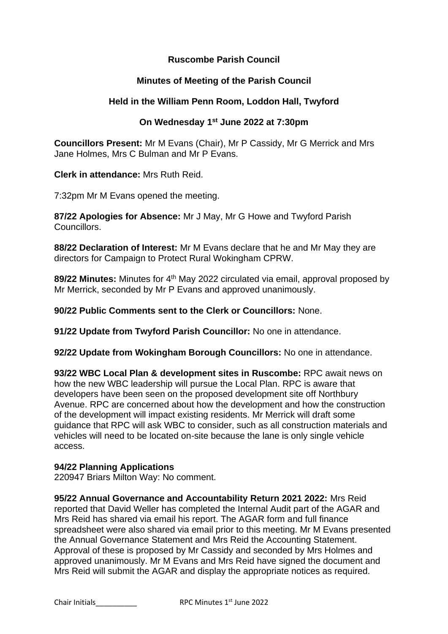# **Ruscombe Parish Council**

### **Minutes of Meeting of the Parish Council**

### **Held in the William Penn Room, Loddon Hall, Twyford**

# **On Wednesday 1st June 2022 at 7:30pm**

**Councillors Present:** Mr M Evans (Chair), Mr P Cassidy, Mr G Merrick and Mrs Jane Holmes, Mrs C Bulman and Mr P Evans.

**Clerk in attendance:** Mrs Ruth Reid.

7:32pm Mr M Evans opened the meeting.

**87/22 Apologies for Absence:** Mr J May, Mr G Howe and Twyford Parish Councillors.

**88/22 Declaration of Interest:** Mr M Evans declare that he and Mr May they are directors for Campaign to Protect Rural Wokingham CPRW.

**89/22 Minutes:** Minutes for 4th May 2022 circulated via email, approval proposed by Mr Merrick, seconded by Mr P Evans and approved unanimously.

**90/22 Public Comments sent to the Clerk or Councillors:** None.

**91/22 Update from Twyford Parish Councillor:** No one in attendance.

**92/22 Update from Wokingham Borough Councillors:** No one in attendance.

**93/22 WBC Local Plan & development sites in Ruscombe:** RPC await news on how the new WBC leadership will pursue the Local Plan. RPC is aware that developers have been seen on the proposed development site off Northbury Avenue. RPC are concerned about how the development and how the construction of the development will impact existing residents. Mr Merrick will draft some guidance that RPC will ask WBC to consider, such as all construction materials and vehicles will need to be located on-site because the lane is only single vehicle access.

### **94/22 Planning Applications**

220947 Briars Milton Way: No comment.

**95/22 Annual Governance and Accountability Return 2021 2022:** Mrs Reid reported that David Weller has completed the Internal Audit part of the AGAR and Mrs Reid has shared via email his report. The AGAR form and full finance spreadsheet were also shared via email prior to this meeting. Mr M Evans presented the Annual Governance Statement and Mrs Reid the Accounting Statement. Approval of these is proposed by Mr Cassidy and seconded by Mrs Holmes and approved unanimously. Mr M Evans and Mrs Reid have signed the document and Mrs Reid will submit the AGAR and display the appropriate notices as required.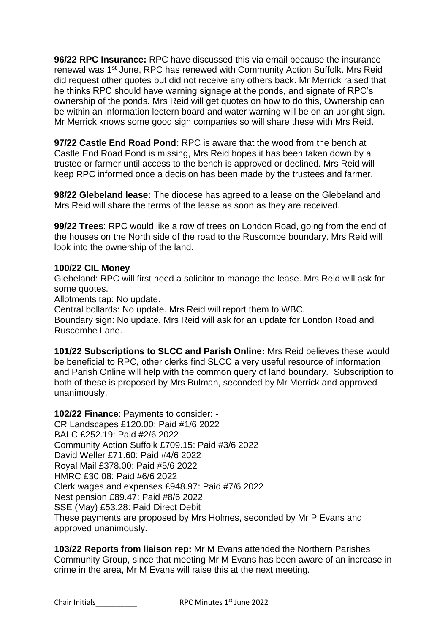**96/22 RPC Insurance:** RPC have discussed this via email because the insurance renewal was 1st June, RPC has renewed with Community Action Suffolk. Mrs Reid did request other quotes but did not receive any others back. Mr Merrick raised that he thinks RPC should have warning signage at the ponds, and signate of RPC's ownership of the ponds. Mrs Reid will get quotes on how to do this, Ownership can be within an information lectern board and water warning will be on an upright sign. Mr Merrick knows some good sign companies so will share these with Mrs Reid.

**97/22 Castle End Road Pond:** RPC is aware that the wood from the bench at Castle End Road Pond is missing, Mrs Reid hopes it has been taken down by a trustee or farmer until access to the bench is approved or declined. Mrs Reid will keep RPC informed once a decision has been made by the trustees and farmer.

**98/22 Glebeland lease:** The diocese has agreed to a lease on the Glebeland and Mrs Reid will share the terms of the lease as soon as they are received.

**99/22 Trees**: RPC would like a row of trees on London Road, going from the end of the houses on the North side of the road to the Ruscombe boundary. Mrs Reid will look into the ownership of the land.

### **100/22 CIL Money**

Glebeland: RPC will first need a solicitor to manage the lease. Mrs Reid will ask for some quotes.

Allotments tap: No update.

Central bollards: No update. Mrs Reid will report them to WBC. Boundary sign: No update. Mrs Reid will ask for an update for London Road and Ruscombe Lane.

**101/22 Subscriptions to SLCC and Parish Online:** Mrs Reid believes these would be beneficial to RPC, other clerks find SLCC a very useful resource of information and Parish Online will help with the common query of land boundary. Subscription to both of these is proposed by Mrs Bulman, seconded by Mr Merrick and approved unanimously.

**102/22 Finance**: Payments to consider: - CR Landscapes £120.00: Paid #1/6 2022 BALC £252.19: Paid #2/6 2022 Community Action Suffolk £709.15: Paid #3/6 2022 David Weller £71.60: Paid #4/6 2022 Royal Mail £378.00: Paid #5/6 2022 HMRC £30.08: Paid #6/6 2022 Clerk wages and expenses £948.97: Paid #7/6 2022 Nest pension £89.47: Paid #8/6 2022 SSE (May) £53.28: Paid Direct Debit These payments are proposed by Mrs Holmes, seconded by Mr P Evans and approved unanimously.

**103/22 Reports from liaison rep:** Mr M Evans attended the Northern Parishes Community Group, since that meeting Mr M Evans has been aware of an increase in crime in the area, Mr M Evans will raise this at the next meeting.